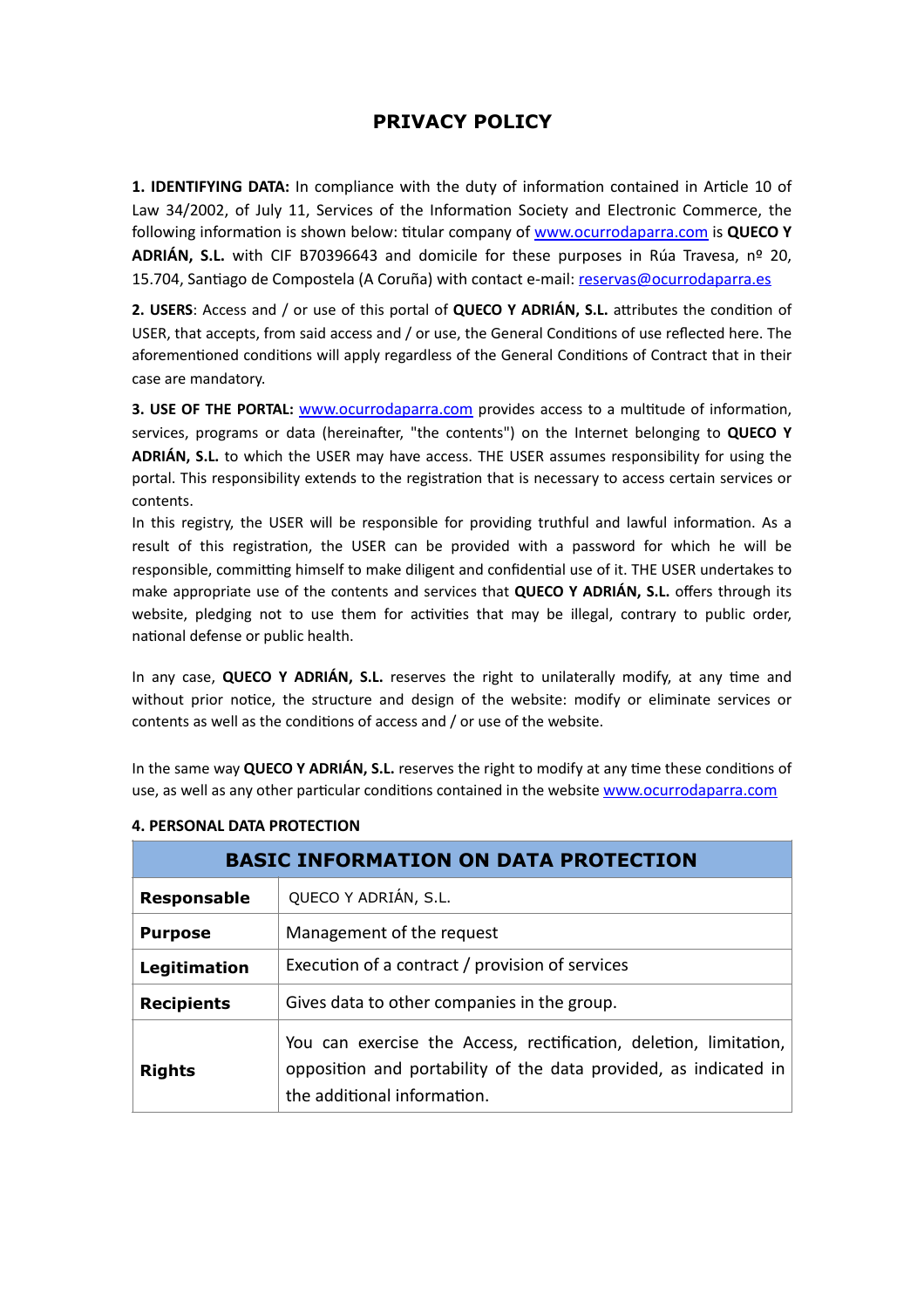## **PRIVACY POLICY**

**1. IDENTIFYING DATA:** In compliance with the duty of information contained in Article 10 of Law 34/2002, of July 11, Services of the Information Society and Electronic Commerce, the following information is shown below: titular company of www.ocurrodaparra.com is **QUECO Y ADRIÁN, S.L.** with CIF B70396643 and domicile for these purposes in Rúa Travesa, nº 20, 15.704, Santiago de Compostela (A Coruña) with contact e-mail: [reservas@ocurrodaparra.es](mailto:reservas@ocurrodaparra.es)

**2. USERS:** Access and / or use of this portal of QUECO Y ADRIÁN, S.L. attributes the condition of USER, that accepts, from said access and / or use, the General Conditions of use reflected here. The aforementioned conditions will apply regardless of the General Conditions of Contract that in their case are mandatory.

**3. USE OF THE PORTAL:** www.ocurrodaparra.com provides access to a multitude of information, services, programs or data (hereinafter, "the contents") on the Internet belonging to QUECO Y **ADRIÁN, S.L.** to which the USER may have access. THE USER assumes responsibility for using the portal. This responsibility extends to the registration that is necessary to access certain services or contents.

In this registry, the USER will be responsible for providing truthful and lawful information. As a result of this registration, the USER can be provided with a password for which he will be responsible, committing himself to make diligent and confidential use of it. THE USER undertakes to make appropriate use of the contents and services that **QUECO Y ADRIÁN, S.L.** offers through its website, pledging not to use them for activities that may be illegal, contrary to public order, national defense or public health.

In any case, **QUECO Y ADRIÁN, S.L.** reserves the right to unilaterally modify, at any time and without prior notice, the structure and design of the website: modify or eliminate services or contents as well as the conditions of access and / or use of the website.

In the same way **QUECO Y ADRIÁN, S.L.** reserves the right to modify at any time these conditions of use, as well as any other particular conditions contained in the website www.ocurrodaparra.com

| <b>BASIC INFORMATION ON DATA PROTECTION</b> |                                                                                                                                                                      |
|---------------------------------------------|----------------------------------------------------------------------------------------------------------------------------------------------------------------------|
| <b>Responsable</b>                          | QUECO Y ADRIÁN, S.L.                                                                                                                                                 |
| <b>Purpose</b>                              | Management of the request                                                                                                                                            |
| Legitimation                                | Execution of a contract / provision of services                                                                                                                      |
| <b>Recipients</b>                           | Gives data to other companies in the group.                                                                                                                          |
| <b>Rights</b>                               | You can exercise the Access, rectification, deletion, limitation,<br>opposition and portability of the data provided, as indicated in<br>the additional information. |

## **4. PERSONAL DATA PROTECTION**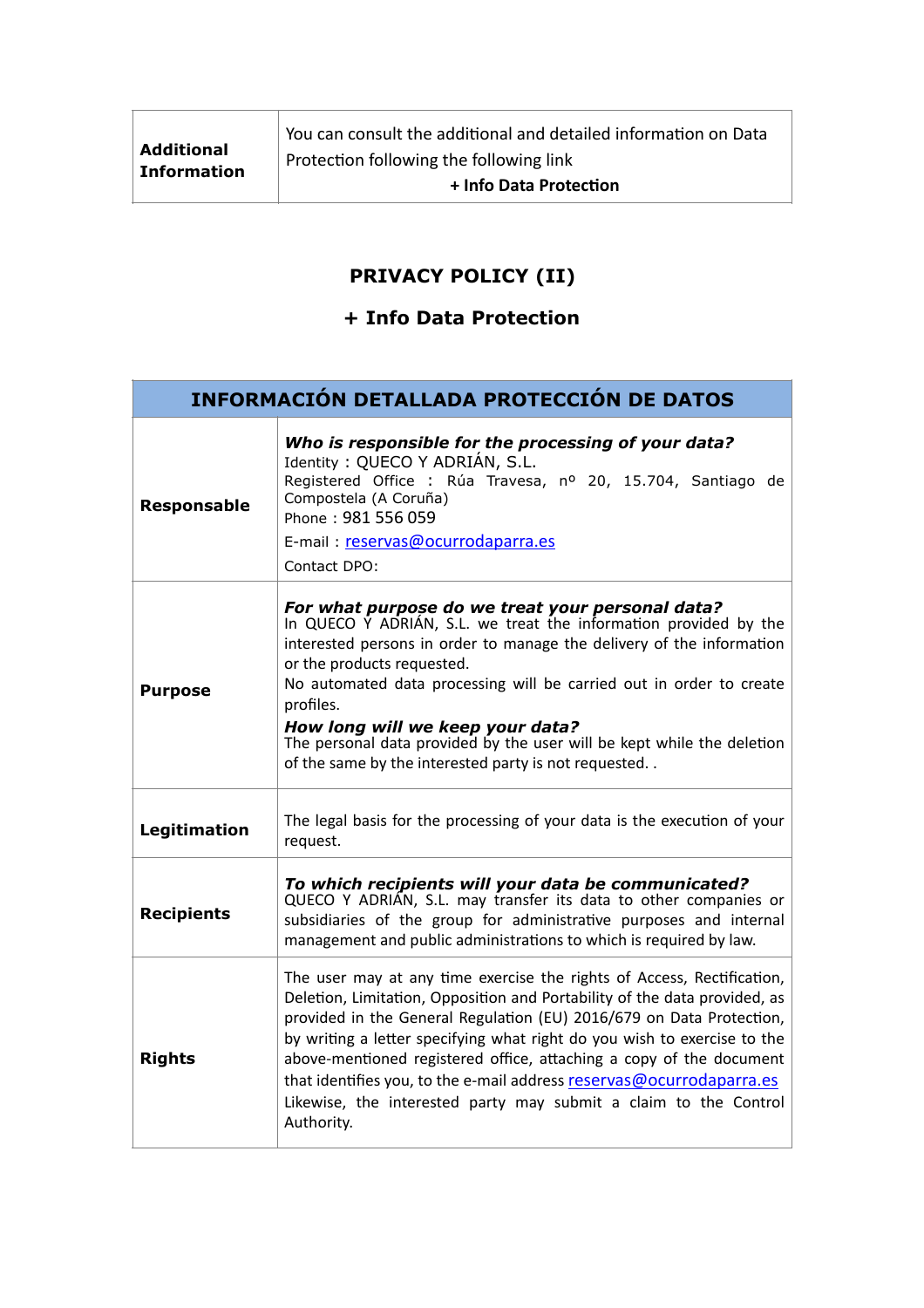## **PRIVACY POLICY (II)**

## **+ Info Data Protection**

| <b>INFORMACION DETALLADA PROTECCIÓN DE DATOS</b> |                                                                                                                                                                                                                                                                                                                                                                                                                                                                                                                                          |
|--------------------------------------------------|------------------------------------------------------------------------------------------------------------------------------------------------------------------------------------------------------------------------------------------------------------------------------------------------------------------------------------------------------------------------------------------------------------------------------------------------------------------------------------------------------------------------------------------|
| <b>Responsable</b>                               | Who is responsible for the processing of your data?<br>Identity: QUECO Y ADRIÁN, S.L.<br>Registered Office : Rúa Travesa, nº 20, 15.704, Santiago de<br>Compostela (A Coruña)<br>Phone: 981 556 059<br>E-mail: reservas@ocurrodaparra.es<br>Contact DPO:                                                                                                                                                                                                                                                                                 |
| <b>Purpose</b>                                   | For what purpose do we treat your personal data?<br>In QUECO Y ADRIÁN, S.L. we treat the information provided by the<br>interested persons in order to manage the delivery of the information<br>or the products requested.<br>No automated data processing will be carried out in order to create<br>profiles.<br>How long will we keep your data?<br>The personal data provided by the user will be kept while the deletion<br>of the same by the interested party is not requested                                                    |
| Legitimation                                     | The legal basis for the processing of your data is the execution of your<br>request.                                                                                                                                                                                                                                                                                                                                                                                                                                                     |
| <b>Recipients</b>                                | To which recipients will your data be communicated?<br>QUECO Y ADRIAN, S.L. may transfer its data to other companies or<br>subsidiaries of the group for administrative purposes and internal<br>management and public administrations to which is required by law.                                                                                                                                                                                                                                                                      |
| <b>Rights</b>                                    | The user may at any time exercise the rights of Access, Rectification,<br>Deletion, Limitation, Opposition and Portability of the data provided, as<br>provided in the General Regulation (EU) 2016/679 on Data Protection,<br>by writing a letter specifying what right do you wish to exercise to the<br>above-mentioned registered office, attaching a copy of the document<br>that identifies you, to the e-mail address reservas@ocurrodaparra.es<br>Likewise, the interested party may submit a claim to the Control<br>Authority. |